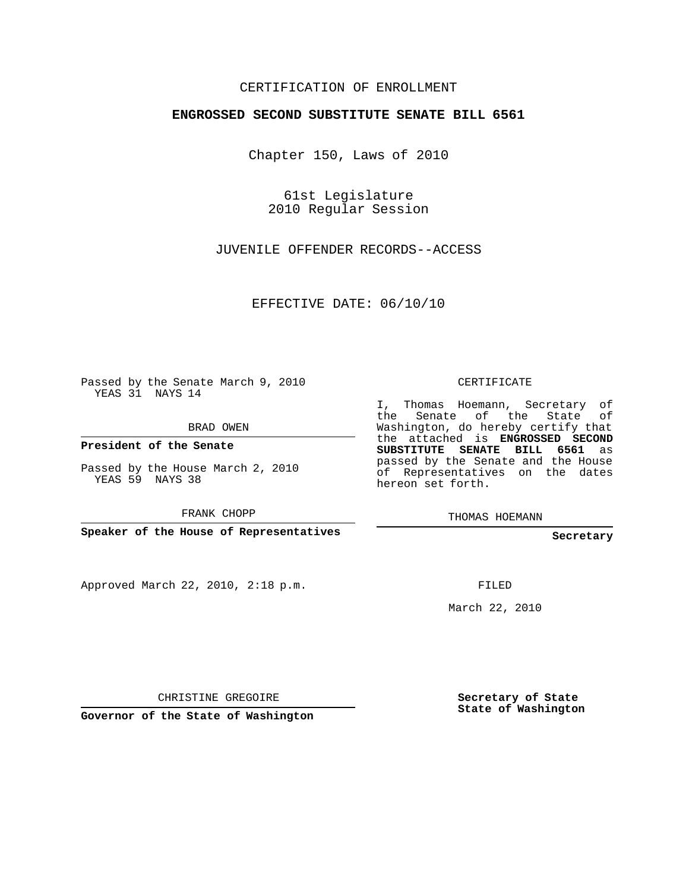## CERTIFICATION OF ENROLLMENT

## **ENGROSSED SECOND SUBSTITUTE SENATE BILL 6561**

Chapter 150, Laws of 2010

61st Legislature 2010 Regular Session

JUVENILE OFFENDER RECORDS--ACCESS

EFFECTIVE DATE: 06/10/10

Passed by the Senate March 9, 2010 YEAS 31 NAYS 14

BRAD OWEN

**President of the Senate**

Passed by the House March 2, 2010 YEAS 59 NAYS 38

FRANK CHOPP

**Speaker of the House of Representatives**

Approved March 22, 2010, 2:18 p.m.

CERTIFICATE

I, Thomas Hoemann, Secretary of the Senate of the State of Washington, do hereby certify that the attached is **ENGROSSED SECOND SUBSTITUTE SENATE BILL 6561** as passed by the Senate and the House of Representatives on the dates hereon set forth.

THOMAS HOEMANN

**Secretary**

FILED

March 22, 2010

CHRISTINE GREGOIRE

**Governor of the State of Washington**

**Secretary of State State of Washington**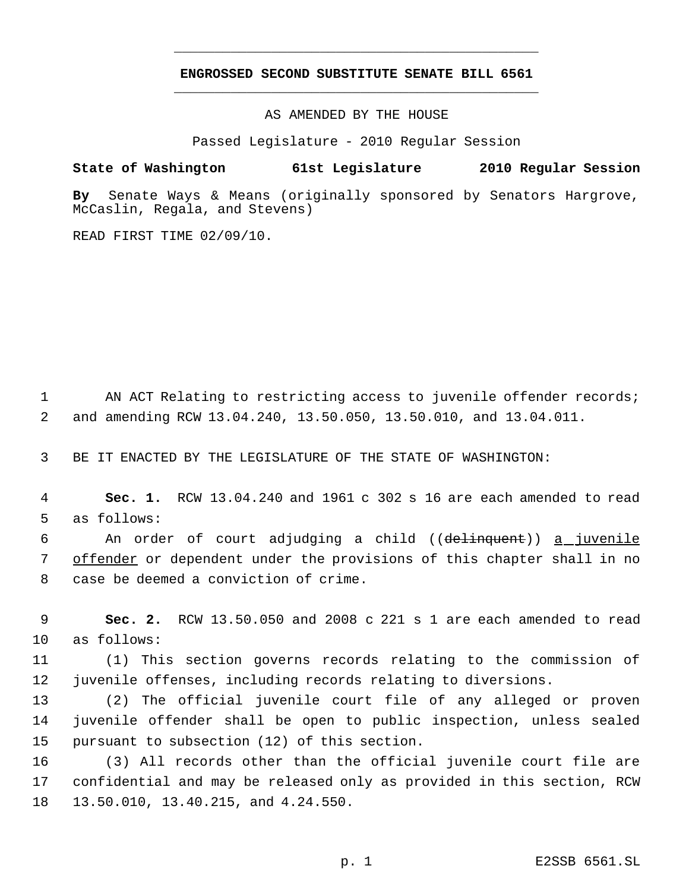## **ENGROSSED SECOND SUBSTITUTE SENATE BILL 6561** \_\_\_\_\_\_\_\_\_\_\_\_\_\_\_\_\_\_\_\_\_\_\_\_\_\_\_\_\_\_\_\_\_\_\_\_\_\_\_\_\_\_\_\_\_

\_\_\_\_\_\_\_\_\_\_\_\_\_\_\_\_\_\_\_\_\_\_\_\_\_\_\_\_\_\_\_\_\_\_\_\_\_\_\_\_\_\_\_\_\_

AS AMENDED BY THE HOUSE

Passed Legislature - 2010 Regular Session

## **State of Washington 61st Legislature 2010 Regular Session**

**By** Senate Ways & Means (originally sponsored by Senators Hargrove, McCaslin, Regala, and Stevens)

READ FIRST TIME 02/09/10.

1 AN ACT Relating to restricting access to juvenile offender records; 2 and amending RCW 13.04.240, 13.50.050, 13.50.010, and 13.04.011.

3 BE IT ENACTED BY THE LEGISLATURE OF THE STATE OF WASHINGTON:

 4 **Sec. 1.** RCW 13.04.240 and 1961 c 302 s 16 are each amended to read 5 as follows:

6 An order of court adjudging a child ((delinquent)) a juvenile 7 offender or dependent under the provisions of this chapter shall in no 8 case be deemed a conviction of crime.

 9 **Sec. 2.** RCW 13.50.050 and 2008 c 221 s 1 are each amended to read 10 as follows:

11 (1) This section governs records relating to the commission of 12 juvenile offenses, including records relating to diversions.

13 (2) The official juvenile court file of any alleged or proven 14 juvenile offender shall be open to public inspection, unless sealed 15 pursuant to subsection (12) of this section.

16 (3) All records other than the official juvenile court file are 17 confidential and may be released only as provided in this section, RCW 18 13.50.010, 13.40.215, and 4.24.550.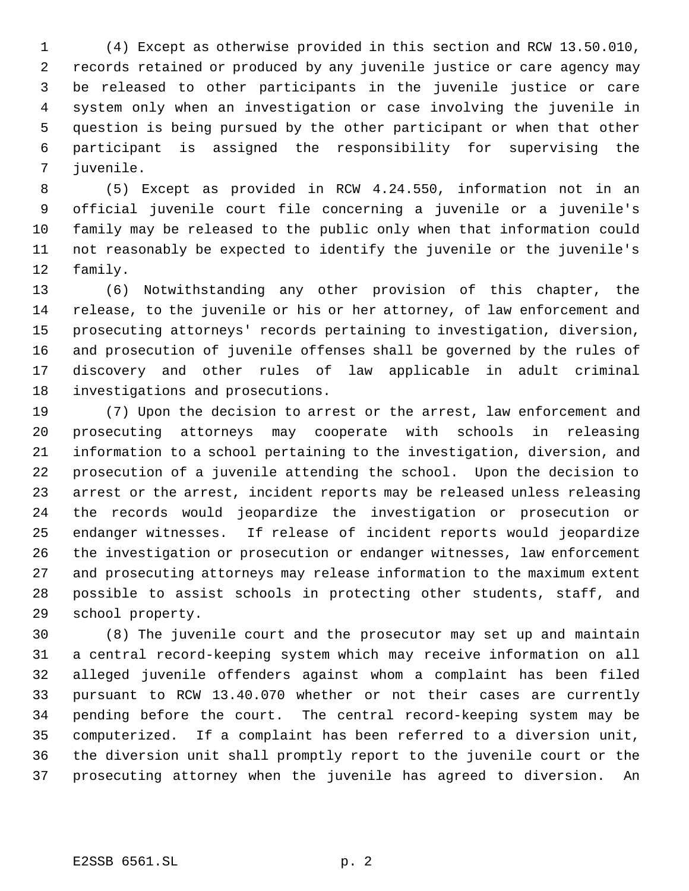(4) Except as otherwise provided in this section and RCW 13.50.010, records retained or produced by any juvenile justice or care agency may be released to other participants in the juvenile justice or care system only when an investigation or case involving the juvenile in question is being pursued by the other participant or when that other participant is assigned the responsibility for supervising the juvenile.

 (5) Except as provided in RCW 4.24.550, information not in an official juvenile court file concerning a juvenile or a juvenile's family may be released to the public only when that information could not reasonably be expected to identify the juvenile or the juvenile's family.

 (6) Notwithstanding any other provision of this chapter, the release, to the juvenile or his or her attorney, of law enforcement and prosecuting attorneys' records pertaining to investigation, diversion, and prosecution of juvenile offenses shall be governed by the rules of discovery and other rules of law applicable in adult criminal investigations and prosecutions.

 (7) Upon the decision to arrest or the arrest, law enforcement and prosecuting attorneys may cooperate with schools in releasing information to a school pertaining to the investigation, diversion, and prosecution of a juvenile attending the school. Upon the decision to arrest or the arrest, incident reports may be released unless releasing the records would jeopardize the investigation or prosecution or endanger witnesses. If release of incident reports would jeopardize the investigation or prosecution or endanger witnesses, law enforcement and prosecuting attorneys may release information to the maximum extent possible to assist schools in protecting other students, staff, and school property.

 (8) The juvenile court and the prosecutor may set up and maintain a central record-keeping system which may receive information on all alleged juvenile offenders against whom a complaint has been filed pursuant to RCW 13.40.070 whether or not their cases are currently pending before the court. The central record-keeping system may be computerized. If a complaint has been referred to a diversion unit, the diversion unit shall promptly report to the juvenile court or the prosecuting attorney when the juvenile has agreed to diversion. An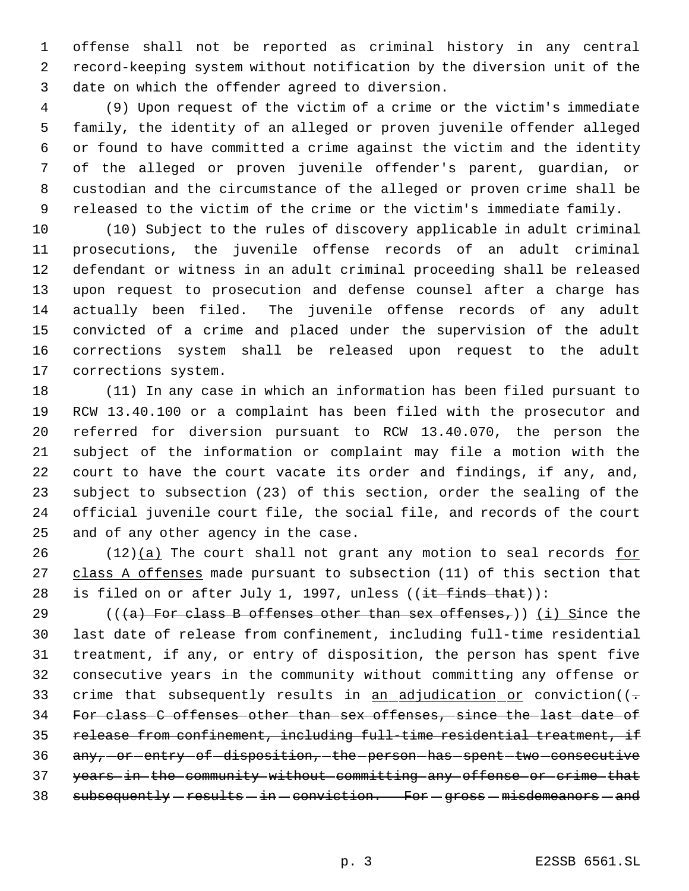offense shall not be reported as criminal history in any central record-keeping system without notification by the diversion unit of the date on which the offender agreed to diversion.

 (9) Upon request of the victim of a crime or the victim's immediate family, the identity of an alleged or proven juvenile offender alleged or found to have committed a crime against the victim and the identity of the alleged or proven juvenile offender's parent, guardian, or custodian and the circumstance of the alleged or proven crime shall be released to the victim of the crime or the victim's immediate family.

 (10) Subject to the rules of discovery applicable in adult criminal prosecutions, the juvenile offense records of an adult criminal defendant or witness in an adult criminal proceeding shall be released upon request to prosecution and defense counsel after a charge has actually been filed. The juvenile offense records of any adult convicted of a crime and placed under the supervision of the adult corrections system shall be released upon request to the adult corrections system.

 (11) In any case in which an information has been filed pursuant to RCW 13.40.100 or a complaint has been filed with the prosecutor and referred for diversion pursuant to RCW 13.40.070, the person the subject of the information or complaint may file a motion with the court to have the court vacate its order and findings, if any, and, subject to subsection (23) of this section, order the sealing of the official juvenile court file, the social file, and records of the court and of any other agency in the case.

26 (12) $(a)$  The court shall not grant any motion to seal records for 27 class A offenses made pursuant to subsection (11) of this section that 28 is filed on or after July 1, 1997, unless  $((\frac{it \text{ finds that}}{t})$ :

29 ( $((a)$  For class B offenses other than sex offenses,)) (i) Since the last date of release from confinement, including full-time residential treatment, if any, or entry of disposition, the person has spent five consecutive years in the community without committing any offense or 33 crime that subsequently results in  $\underline{an\_adjudication\_or}$  conviction( $(-$  For class C offenses other than sex offenses, since the last date of release from confinement, including full-time residential treatment, if 36 any, or entry of disposition, the person has spent two consecutive years in the community without committing any offense or crime that 38 subsequently - results - in - conviction. For - gross - misdemeanors - and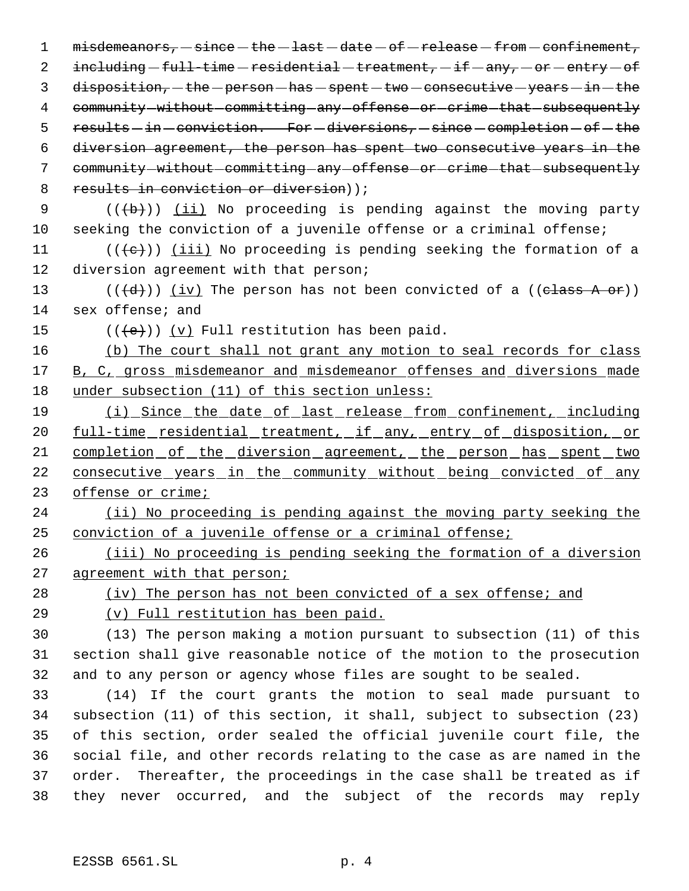1 misdemeanors, since the last date of release from confinement, 2 including  $-full-time -residential - treatment, -if - any, -or - entry - of$  $3$  disposition,  $-\text{the}-\text{person}-\text{has}-\text{spent}-\text{two}-\text{consective}-\text{years}-\text{in}-\text{the}$ 4 community without committing any offense or crime that subsequently 5 results - in - conviction. For - diversions, - since - completion - of - the 6 diversion agreement, the person has spent two consecutive years in the 7 community without committing any offense or crime that subsequently 8 results in conviction or diversion) ;

9  $((+b))$   $(i)$  No proceeding is pending against the moving party 10 seeking the conviction of a juvenile offense or a criminal offense;

11 ( $(\langle e \rangle)$ ) <u>(iii)</u> No proceeding is pending seeking the formation of a 12 diversion agreement with that person;

13  $((\overline{d}))$   $(iv)$  The person has not been convicted of a  $((\overline{elass A or}))$ 14 sex offense; and

15  $((\{e\}))(y)$  Full restitution has been paid.

16 (b) The court shall not grant any motion to seal records for class 17 B, C, gross misdemeanor and misdemeanor offenses and diversions made 18 under subsection (11) of this section unless:

19 (i) Since the date of last release from confinement, including 20 full-time residential treatment, if any, entry of disposition, or 21 completion of the diversion agreement, the person has spent two 22 consecutive years in the community without being convicted of any 23 offense or crime;

24 (ii) No proceeding is pending against the moving party seeking the 25 conviction of a juvenile offense or a criminal offense;

26 (iii) No proceeding is pending seeking the formation of a diversion 27 agreement with that person;

28 (iv) The person has not been convicted of a sex offense; and 29 (v) Full restitution has been paid.

30 (13) The person making a motion pursuant to subsection (11) of this 31 section shall give reasonable notice of the motion to the prosecution 32 and to any person or agency whose files are sought to be sealed.

 (14) If the court grants the motion to seal made pursuant to subsection (11) of this section, it shall, subject to subsection (23) of this section, order sealed the official juvenile court file, the social file, and other records relating to the case as are named in the order. Thereafter, the proceedings in the case shall be treated as if they never occurred, and the subject of the records may reply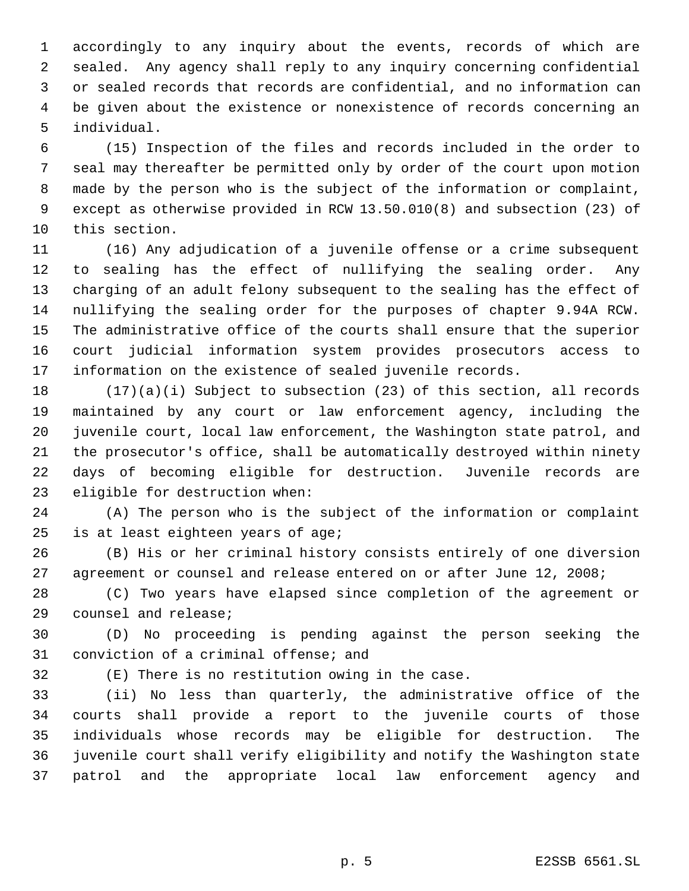accordingly to any inquiry about the events, records of which are sealed. Any agency shall reply to any inquiry concerning confidential or sealed records that records are confidential, and no information can be given about the existence or nonexistence of records concerning an individual.

 (15) Inspection of the files and records included in the order to seal may thereafter be permitted only by order of the court upon motion made by the person who is the subject of the information or complaint, except as otherwise provided in RCW 13.50.010(8) and subsection (23) of this section.

 (16) Any adjudication of a juvenile offense or a crime subsequent to sealing has the effect of nullifying the sealing order. Any charging of an adult felony subsequent to the sealing has the effect of nullifying the sealing order for the purposes of chapter 9.94A RCW. The administrative office of the courts shall ensure that the superior court judicial information system provides prosecutors access to information on the existence of sealed juvenile records.

 (17)(a)(i) Subject to subsection (23) of this section, all records maintained by any court or law enforcement agency, including the juvenile court, local law enforcement, the Washington state patrol, and the prosecutor's office, shall be automatically destroyed within ninety days of becoming eligible for destruction. Juvenile records are eligible for destruction when:

 (A) The person who is the subject of the information or complaint is at least eighteen years of age;

 (B) His or her criminal history consists entirely of one diversion agreement or counsel and release entered on or after June 12, 2008;

 (C) Two years have elapsed since completion of the agreement or counsel and release;

 (D) No proceeding is pending against the person seeking the conviction of a criminal offense; and

(E) There is no restitution owing in the case.

 (ii) No less than quarterly, the administrative office of the courts shall provide a report to the juvenile courts of those individuals whose records may be eligible for destruction. The juvenile court shall verify eligibility and notify the Washington state patrol and the appropriate local law enforcement agency and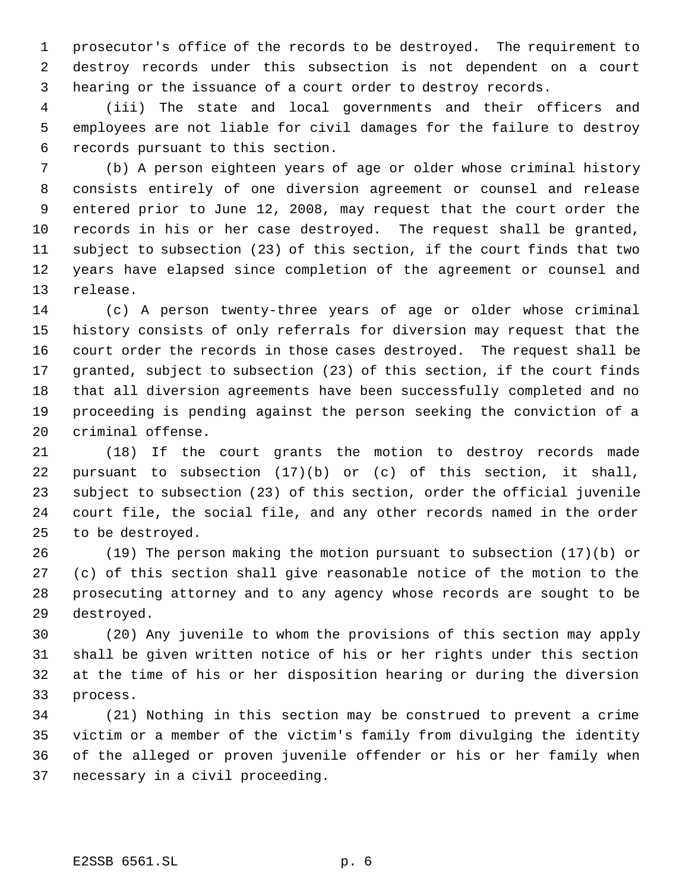prosecutor's office of the records to be destroyed. The requirement to destroy records under this subsection is not dependent on a court hearing or the issuance of a court order to destroy records.

 (iii) The state and local governments and their officers and employees are not liable for civil damages for the failure to destroy records pursuant to this section.

 (b) A person eighteen years of age or older whose criminal history consists entirely of one diversion agreement or counsel and release entered prior to June 12, 2008, may request that the court order the records in his or her case destroyed. The request shall be granted, subject to subsection (23) of this section, if the court finds that two years have elapsed since completion of the agreement or counsel and release.

 (c) A person twenty-three years of age or older whose criminal history consists of only referrals for diversion may request that the court order the records in those cases destroyed. The request shall be granted, subject to subsection (23) of this section, if the court finds that all diversion agreements have been successfully completed and no proceeding is pending against the person seeking the conviction of a criminal offense.

 (18) If the court grants the motion to destroy records made pursuant to subsection (17)(b) or (c) of this section, it shall, subject to subsection (23) of this section, order the official juvenile court file, the social file, and any other records named in the order to be destroyed.

 (19) The person making the motion pursuant to subsection (17)(b) or (c) of this section shall give reasonable notice of the motion to the prosecuting attorney and to any agency whose records are sought to be destroyed.

 (20) Any juvenile to whom the provisions of this section may apply shall be given written notice of his or her rights under this section at the time of his or her disposition hearing or during the diversion process.

 (21) Nothing in this section may be construed to prevent a crime victim or a member of the victim's family from divulging the identity of the alleged or proven juvenile offender or his or her family when necessary in a civil proceeding.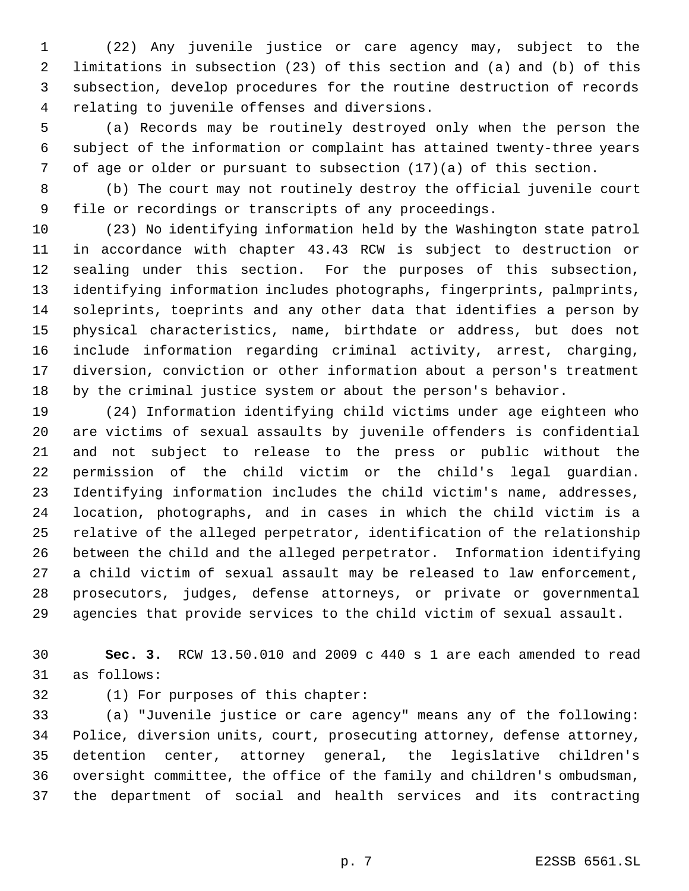(22) Any juvenile justice or care agency may, subject to the limitations in subsection (23) of this section and (a) and (b) of this subsection, develop procedures for the routine destruction of records relating to juvenile offenses and diversions.

 (a) Records may be routinely destroyed only when the person the subject of the information or complaint has attained twenty-three years of age or older or pursuant to subsection (17)(a) of this section.

 (b) The court may not routinely destroy the official juvenile court file or recordings or transcripts of any proceedings.

 (23) No identifying information held by the Washington state patrol in accordance with chapter 43.43 RCW is subject to destruction or sealing under this section. For the purposes of this subsection, identifying information includes photographs, fingerprints, palmprints, soleprints, toeprints and any other data that identifies a person by physical characteristics, name, birthdate or address, but does not include information regarding criminal activity, arrest, charging, diversion, conviction or other information about a person's treatment by the criminal justice system or about the person's behavior.

 (24) Information identifying child victims under age eighteen who are victims of sexual assaults by juvenile offenders is confidential and not subject to release to the press or public without the permission of the child victim or the child's legal guardian. Identifying information includes the child victim's name, addresses, location, photographs, and in cases in which the child victim is a relative of the alleged perpetrator, identification of the relationship between the child and the alleged perpetrator. Information identifying a child victim of sexual assault may be released to law enforcement, prosecutors, judges, defense attorneys, or private or governmental agencies that provide services to the child victim of sexual assault.

 **Sec. 3.** RCW 13.50.010 and 2009 c 440 s 1 are each amended to read as follows:

(1) For purposes of this chapter:

 (a) "Juvenile justice or care agency" means any of the following: Police, diversion units, court, prosecuting attorney, defense attorney, detention center, attorney general, the legislative children's oversight committee, the office of the family and children's ombudsman, the department of social and health services and its contracting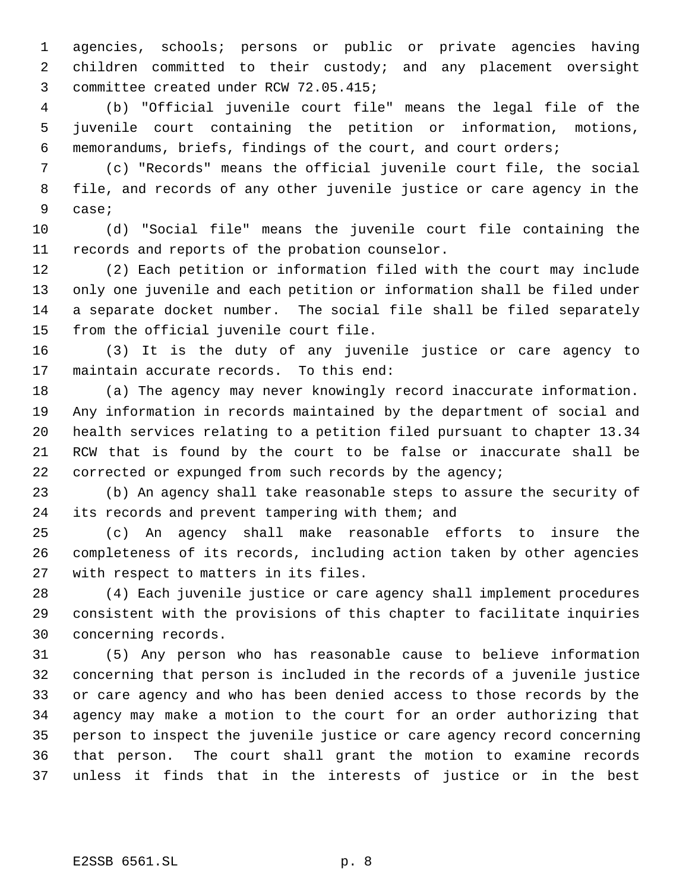agencies, schools; persons or public or private agencies having children committed to their custody; and any placement oversight committee created under RCW 72.05.415;

 (b) "Official juvenile court file" means the legal file of the juvenile court containing the petition or information, motions, memorandums, briefs, findings of the court, and court orders;

 (c) "Records" means the official juvenile court file, the social file, and records of any other juvenile justice or care agency in the case;

 (d) "Social file" means the juvenile court file containing the records and reports of the probation counselor.

 (2) Each petition or information filed with the court may include only one juvenile and each petition or information shall be filed under a separate docket number. The social file shall be filed separately from the official juvenile court file.

 (3) It is the duty of any juvenile justice or care agency to maintain accurate records. To this end:

 (a) The agency may never knowingly record inaccurate information. Any information in records maintained by the department of social and health services relating to a petition filed pursuant to chapter 13.34 RCW that is found by the court to be false or inaccurate shall be corrected or expunged from such records by the agency;

 (b) An agency shall take reasonable steps to assure the security of its records and prevent tampering with them; and

 (c) An agency shall make reasonable efforts to insure the completeness of its records, including action taken by other agencies with respect to matters in its files.

 (4) Each juvenile justice or care agency shall implement procedures consistent with the provisions of this chapter to facilitate inquiries concerning records.

 (5) Any person who has reasonable cause to believe information concerning that person is included in the records of a juvenile justice or care agency and who has been denied access to those records by the agency may make a motion to the court for an order authorizing that person to inspect the juvenile justice or care agency record concerning that person. The court shall grant the motion to examine records unless it finds that in the interests of justice or in the best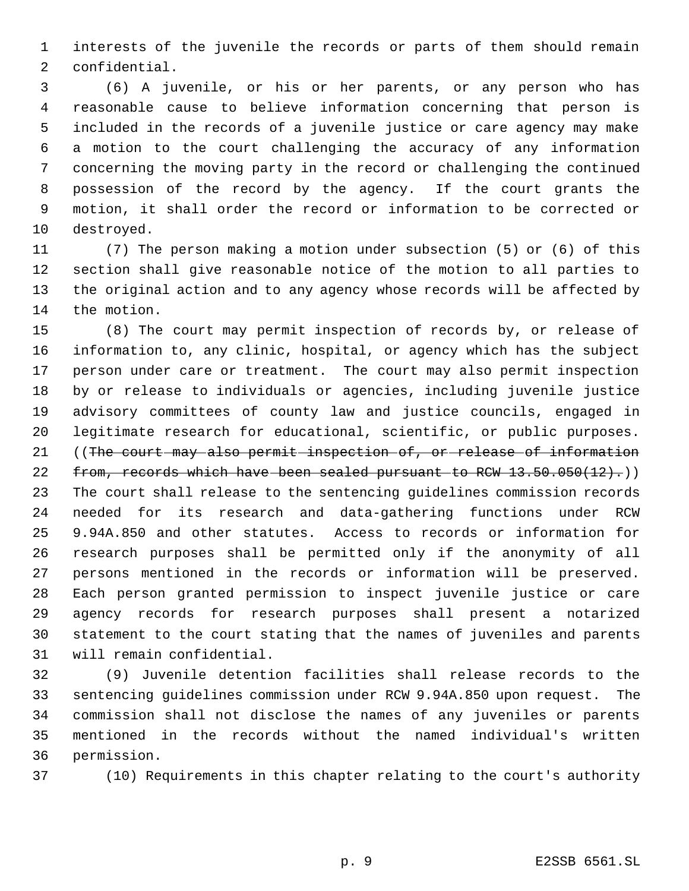interests of the juvenile the records or parts of them should remain confidential.

 (6) A juvenile, or his or her parents, or any person who has reasonable cause to believe information concerning that person is included in the records of a juvenile justice or care agency may make a motion to the court challenging the accuracy of any information concerning the moving party in the record or challenging the continued possession of the record by the agency. If the court grants the motion, it shall order the record or information to be corrected or destroyed.

 (7) The person making a motion under subsection (5) or (6) of this section shall give reasonable notice of the motion to all parties to the original action and to any agency whose records will be affected by the motion.

 (8) The court may permit inspection of records by, or release of information to, any clinic, hospital, or agency which has the subject person under care or treatment. The court may also permit inspection by or release to individuals or agencies, including juvenile justice advisory committees of county law and justice councils, engaged in legitimate research for educational, scientific, or public purposes. ((The court may also permit inspection of, or release of information 22 from, records which have been sealed pursuant to RCW 13.50.050(12).) The court shall release to the sentencing guidelines commission records needed for its research and data-gathering functions under RCW 9.94A.850 and other statutes. Access to records or information for research purposes shall be permitted only if the anonymity of all persons mentioned in the records or information will be preserved. Each person granted permission to inspect juvenile justice or care agency records for research purposes shall present a notarized statement to the court stating that the names of juveniles and parents will remain confidential.

 (9) Juvenile detention facilities shall release records to the sentencing guidelines commission under RCW 9.94A.850 upon request. The commission shall not disclose the names of any juveniles or parents mentioned in the records without the named individual's written permission.

(10) Requirements in this chapter relating to the court's authority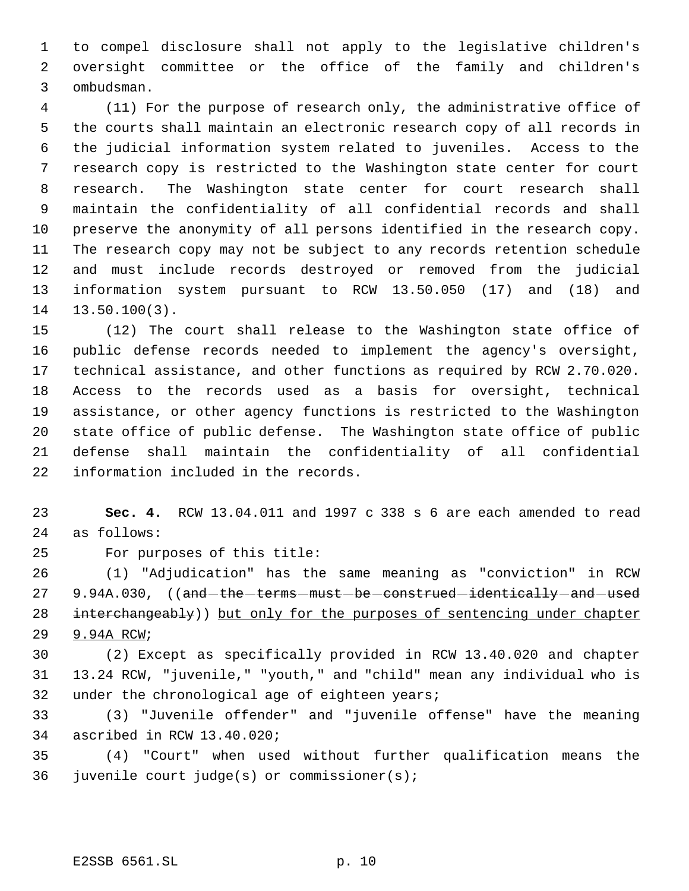to compel disclosure shall not apply to the legislative children's oversight committee or the office of the family and children's ombudsman.

 (11) For the purpose of research only, the administrative office of the courts shall maintain an electronic research copy of all records in the judicial information system related to juveniles. Access to the research copy is restricted to the Washington state center for court research. The Washington state center for court research shall maintain the confidentiality of all confidential records and shall preserve the anonymity of all persons identified in the research copy. The research copy may not be subject to any records retention schedule and must include records destroyed or removed from the judicial information system pursuant to RCW 13.50.050 (17) and (18) and 13.50.100(3).

 (12) The court shall release to the Washington state office of public defense records needed to implement the agency's oversight, technical assistance, and other functions as required by RCW 2.70.020. Access to the records used as a basis for oversight, technical assistance, or other agency functions is restricted to the Washington state office of public defense. The Washington state office of public defense shall maintain the confidentiality of all confidential information included in the records.

 **Sec. 4.** RCW 13.04.011 and 1997 c 338 s 6 are each amended to read as follows:

For purposes of this title:

 (1) "Adjudication" has the same meaning as "conviction" in RCW 27 9.94A.030, ((and-the-terms-must-be-construed-identically-and-used 28 interchangeably)) but only for the purposes of sentencing under chapter 9.94A RCW;

 (2) Except as specifically provided in RCW 13.40.020 and chapter 13.24 RCW, "juvenile," "youth," and "child" mean any individual who is 32 under the chronological age of eighteen years;

 (3) "Juvenile offender" and "juvenile offense" have the meaning ascribed in RCW 13.40.020;

 (4) "Court" when used without further qualification means the juvenile court judge(s) or commissioner(s);